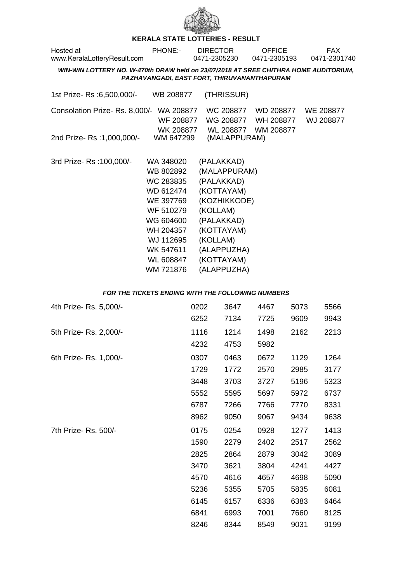

## **KERALA STATE LOTTERIES - RESULT**

| Hosted at<br>www.KeralaLotteryResult.com                                             | <b>PHONE:-</b>                                                                                                                                           | <b>DIRECTOR</b><br>0471-2305230                                                                                                                                        | <b>OFFICE</b><br>0471-2305193 | <b>FAX</b><br>0471-2301740 |
|--------------------------------------------------------------------------------------|----------------------------------------------------------------------------------------------------------------------------------------------------------|------------------------------------------------------------------------------------------------------------------------------------------------------------------------|-------------------------------|----------------------------|
| WIN-WIN LOTTERY NO. W-470th DRAW held on 23/07/2018 AT SREE CHITHRA HOME AUDITORIUM. |                                                                                                                                                          | PAZHAVANGADI, EAST FORT, THIRUVANANTHAPURAM                                                                                                                            |                               |                            |
| 1st Prize-Rs : 6,500,000/-                                                           | WB 208877                                                                                                                                                | (THRISSUR)                                                                                                                                                             |                               |                            |
| Consolation Prize-Rs. 8,000/-                                                        | WA 208877<br>WF 208877                                                                                                                                   | WC 208877<br>WG 208877                                                                                                                                                 | WD 208877<br>WH 208877        | WE 208877<br>WJ 208877     |
| 2nd Prize-Rs: 1,000,000/-                                                            | WK 208877<br>WM 647299                                                                                                                                   | (MALAPPURAM)                                                                                                                                                           | WL 208877 WM 208877           |                            |
| 3rd Prize-Rs: 100,000/-                                                              | WA 348020<br>WB 802892<br>WC 283835<br>WD 612474<br>WE 397769<br>WF 510279<br>WG 604600<br>WH 204357<br>WJ 112695<br>WK 547611<br>WL 608847<br>WM 721876 | (PALAKKAD)<br>(MALAPPURAM)<br>(PALAKKAD)<br>(KOTTAYAM)<br>(KOZHIKKODE)<br>(KOLLAM)<br>(PALAKKAD)<br>(KOTTAYAM)<br>(KOLLAM)<br>(ALAPPUZHA)<br>(KOTTAYAM)<br>(ALAPPUZHA) |                               |                            |

## **FOR THE TICKETS ENDING WITH THE FOLLOWING NUMBERS**

| 4th Prize-Rs. 5,000/- | 0202 | 3647 | 4467 | 5073 | 5566 |
|-----------------------|------|------|------|------|------|
|                       | 6252 | 7134 | 7725 | 9609 | 9943 |
| 5th Prize-Rs. 2,000/- | 1116 | 1214 | 1498 | 2162 | 2213 |
|                       | 4232 | 4753 | 5982 |      |      |
| 6th Prize-Rs. 1,000/- | 0307 | 0463 | 0672 | 1129 | 1264 |
|                       | 1729 | 1772 | 2570 | 2985 | 3177 |
|                       | 3448 | 3703 | 3727 | 5196 | 5323 |
|                       | 5552 | 5595 | 5697 | 5972 | 6737 |
|                       | 6787 | 7266 | 7766 | 7770 | 8331 |
|                       | 8962 | 9050 | 9067 | 9434 | 9638 |
| 7th Prize-Rs. 500/-   | 0175 | 0254 | 0928 | 1277 | 1413 |
|                       | 1590 | 2279 | 2402 | 2517 | 2562 |
|                       | 2825 | 2864 | 2879 | 3042 | 3089 |
|                       | 3470 | 3621 | 3804 | 4241 | 4427 |
|                       | 4570 | 4616 | 4657 | 4698 | 5090 |
|                       | 5236 | 5355 | 5705 | 5835 | 6081 |
|                       | 6145 | 6157 | 6336 | 6383 | 6464 |
|                       | 6841 | 6993 | 7001 | 7660 | 8125 |
|                       | 8246 | 8344 | 8549 | 9031 | 9199 |